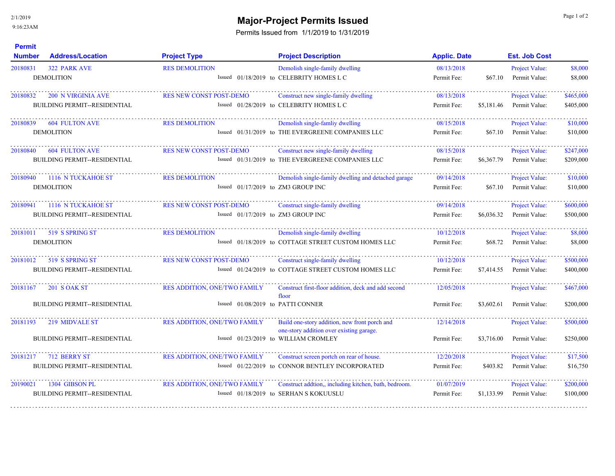**Permit** 

## **Major-Project Permits Issued** and the state of 2 and 2 and 2 and 2 and 2 and 2 and 2 and 2 and 2 and 2 and 2 and 2 and 2 and 2 and 2 and 2 and 2 and 2 and 2 and 2 and 2 and 2 and 2 and 2 and 2 and 2 and 2 and 2 and 2 and

Permits Issued from 1/1/2019 to 1/31/2019

| <b>Number</b> | <b>Address/Location</b>                                          | <b>Project Type</b>                                                      | <b>Project Description</b>                                                                      | <b>Applic. Date</b>       |            | <b>Est. Job Cost</b>                   |                        |
|---------------|------------------------------------------------------------------|--------------------------------------------------------------------------|-------------------------------------------------------------------------------------------------|---------------------------|------------|----------------------------------------|------------------------|
| 20180831      | <b>322 PARK AVE</b><br><b>DEMOLITION</b>                         | <b>RES DEMOLITION</b>                                                    | Demolish single-family dwelling<br>Issued 01/18/2019 to CELEBRITY HOMES L C                     | 08/13/2018<br>Permit Fee: | \$67.10    | Project Value:<br>Permit Value:        | \$8,000<br>\$8,000     |
| 20180832      | <b>200 N VIRGINIA AVE</b><br><b>BUILDING PERMIT--RESIDENTIAL</b> | RES NEW CONST POST-DEMO                                                  | Construct new single-family dwelling<br>Issued 01/28/2019 to CELEBRITY HOMES L C                | 08/13/2018<br>Permit Fee: | \$5,181.46 | Project Value:<br>Permit Value:        | \$465,000<br>\$405,000 |
| 20180839      | <b>604 FULTON AVE</b><br><b>DEMOLITION</b>                       | <b>RES DEMOLITION</b>                                                    | Demolish single-famliy dwelling<br>Issued 01/31/2019 to THE EVERGREENE COMPANIES LLC            | 08/15/2018<br>Permit Fee: | \$67.10    | Project Value:<br>Permit Value:        | \$10,000<br>\$10,000   |
| 20180840      | <b>604 FULTON AVE</b><br><b>BUILDING PERMIT--RESIDENTIAL</b>     | <b>RES NEW CONST POST-DEMO</b>                                           | Construct new single-family dwelling<br>Issued 01/31/2019 to THE EVERGREENE COMPANIES LLC       | 08/15/2018<br>Permit Fee: | \$6,367.79 | Project Value:<br>Permit Value:        | \$247,000<br>\$209,000 |
| 20180940      | 1116 N TUCKAHOE ST<br><b>DEMOLITION</b>                          | <b>RES DEMOLITION</b><br>Issued $01/17/2019$ to ZM3 GROUP INC            | Demolish single-family dwelling and detached garage                                             | 09/14/2018<br>Permit Fee: | \$67.10    | Project Value:<br>Permit Value:        | \$10,000<br>\$10,000   |
| 20180941      | 1116 N TUCKAHOE ST<br><b>BUILDING PERMIT--RESIDENTIAL</b>        | RES NEW CONST POST-DEMO<br>Issued 01/17/2019 to ZM3 GROUP INC            | Construct single-family dwelling                                                                | 09/14/2018<br>Permit Fee: | \$6,036.32 | Project Value:<br>Permit Value:        | \$600,000<br>\$500,000 |
| 20181011      | 519 S SPRING ST<br><b>DEMOLITION</b>                             | <b>RES DEMOLITION</b>                                                    | Demolish single-family dwelling<br>Issued 01/18/2019 to COTTAGE STREET CUSTOM HOMES LLC         | 10/12/2018<br>Permit Fee: | \$68.72    | Project Value:<br>Permit Value:        | \$8,000<br>\$8,000     |
| 20181012      | 519 S SPRING ST<br><b>BUILDING PERMIT--RESIDENTIAL</b>           | <b>RES NEW CONST POST-DEMO</b>                                           | Construct single-family dwelling<br>Issued 01/24/2019 to COTTAGE STREET CUSTOM HOMES LLC        | 10/12/2018<br>Permit Fee: | \$7,414.55 | Project Value:<br>Permit Value:        | \$500,000<br>\$400,000 |
| 20181167      | <b>201 S OAK ST</b>                                              | RES ADDITION, ONE/TWO FAMILY                                             | Construct first-floor addition, deck and add second<br>floor                                    | 12/05/2018                |            | Project Value:                         | \$467,000              |
| 20181193      | <b>BUILDING PERMIT--RESIDENTIAL</b><br>219 MIDVALE ST            | Issued 01/08/2019 to PATTI CONNER<br><b>RES ADDITION, ONE/TWO FAMILY</b> | Build one-story addition, new front porch and                                                   | Permit Fee:<br>12/14/2018 | \$3,602.61 | Permit Value:<br><b>Project Value:</b> | \$200,000<br>\$500,000 |
|               | <b>BUILDING PERMIT--RESIDENTIAL</b>                              |                                                                          | one-story addition over existing garage.<br>Issued 01/23/2019 to WILLIAM CROMLEY                | Permit Fee:               | \$3,716.00 | Permit Value:                          | \$250,000              |
| 20181217      | 712 BERRY ST<br><b>BUILDING PERMIT--RESIDENTIAL</b>              | <b>RES ADDITION, ONE/TWO FAMILY</b>                                      | Construct screen portch on rear of house.<br>Issued 01/22/2019 to CONNOR BENTLEY INCORPORATED   | 12/20/2018<br>Permit Fee: | \$403.82   | Project Value:<br>Permit Value:        | \$17,500<br>\$16,750   |
| 20190021      | 1304 GIBSON PL<br><b>BUILDING PERMIT--RESIDENTIAL</b>            | <b>RES ADDITION, ONE/TWO FAMILY</b>                                      | Construct addtion,, including kitchen, bath, bedroom.<br>Issued 01/18/2019 to SERHAN S KOKUUSLU | 01/07/2019<br>Permit Fee: | \$1,133.99 | Project Value:<br>Permit Value:        | \$200,000<br>\$100,000 |